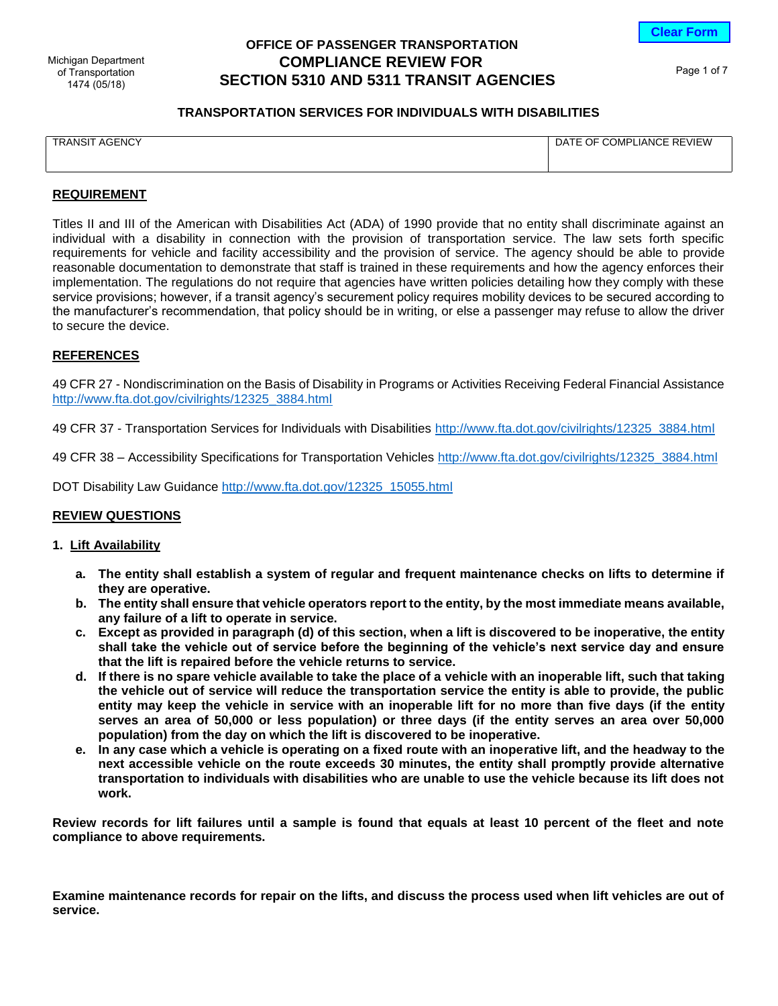**Clear Form**

of Transportation 1474 (05/18)

# **OFFICE OF PASSENGER TRANSPORTATION SECTION 5310 AND 5311 TRANSIT AGENCIES** Michigan Department **COMPLIANCE REVIEW FOR**

Page 1 of 7

# **TRANSPORTATION SERVICES FOR INDIVIDUALS WITH DISABILITIES**

| <b>TRANSIT AGENCY</b> |
|-----------------------|
|-----------------------|

DATE OF COMPLIANCE REVIEW

# **REQUIREMENT**

Titles II and III of the American with Disabilities Act (ADA) of 1990 provide that no entity shall discriminate against an individual with a disability in connection with the provision of transportation service. The law sets forth specific requirements for vehicle and facility accessibility and the provision of service. The agency should be able to provide reasonable documentation to demonstrate that staff is trained in these requirements and how the agency enforces their implementation. The regulations do not require that agencies have written policies detailing how they comply with these service provisions; however, if a transit agency's securement policy requires mobility devices to be secured according to the manufacturer's recommendation, that policy should be in writing, or else a passenger may refuse to allow the driver to secure the device.

# **REFERENCES**

49 CFR 27 - Nondiscrimination on the Basis of Disability in Programs or Activities Receiving Federal Financial Assistance [http://www.fta.dot.gov/civilrights/12325\\_3884.html](http://www.fta.dot.gov/civilrights/12325_3884.html)

49 CFR 37 - Transportation Services for Individuals with Disabilities [http://www.fta.dot.gov/civilrights/12325\\_3884.html](http://www.fta.dot.gov/civilrights/12325_3884.html)

49 CFR 38 – Accessibility Specifications for Transportation Vehicles [http://www.fta.dot.gov/civilrights/12325\\_3884.html](http://www.fta.dot.gov/civilrights/12325_3884.html)

DOT Disability Law Guidance [http://www.fta.dot.gov/12325\\_15055.html](http://www.fta.dot.gov/12325_15055.html)

# **REVIEW QUESTIONS**

# **1. Lift Availability**

- **a. The entity shall establish a system of regular and frequent maintenance checks on lifts to determine if they are operative.**
- **b. The entity shall ensure that vehicle operators report to the entity, by the most immediate means available, any failure of a lift to operate in service.**
- **c. Except as provided in paragraph (d) of this section, when a lift is discovered to be inoperative, the entity shall take the vehicle out of service before the beginning of the vehicle's next service day and ensure that the lift is repaired before the vehicle returns to service.**
- **d. If there is no spare vehicle available to take the place of a vehicle with an inoperable lift, such that taking the vehicle out of service will reduce the transportation service the entity is able to provide, the public entity may keep the vehicle in service with an inoperable lift for no more than five days (if the entity serves an area of 50,000 or less population) or three days (if the entity serves an area over 50,000 population) from the day on which the lift is discovered to be inoperative.**
- **e. In any case which a vehicle is operating on a fixed route with an inoperative lift, and the headway to the next accessible vehicle on the route exceeds 30 minutes, the entity shall promptly provide alternative transportation to individuals with disabilities who are unable to use the vehicle because its lift does not work.**

**Review records for lift failures until a sample is found that equals at least 10 percent of the fleet and note compliance to above requirements.**

**Examine maintenance records for repair on the lifts, and discuss the process used when lift vehicles are out of service.**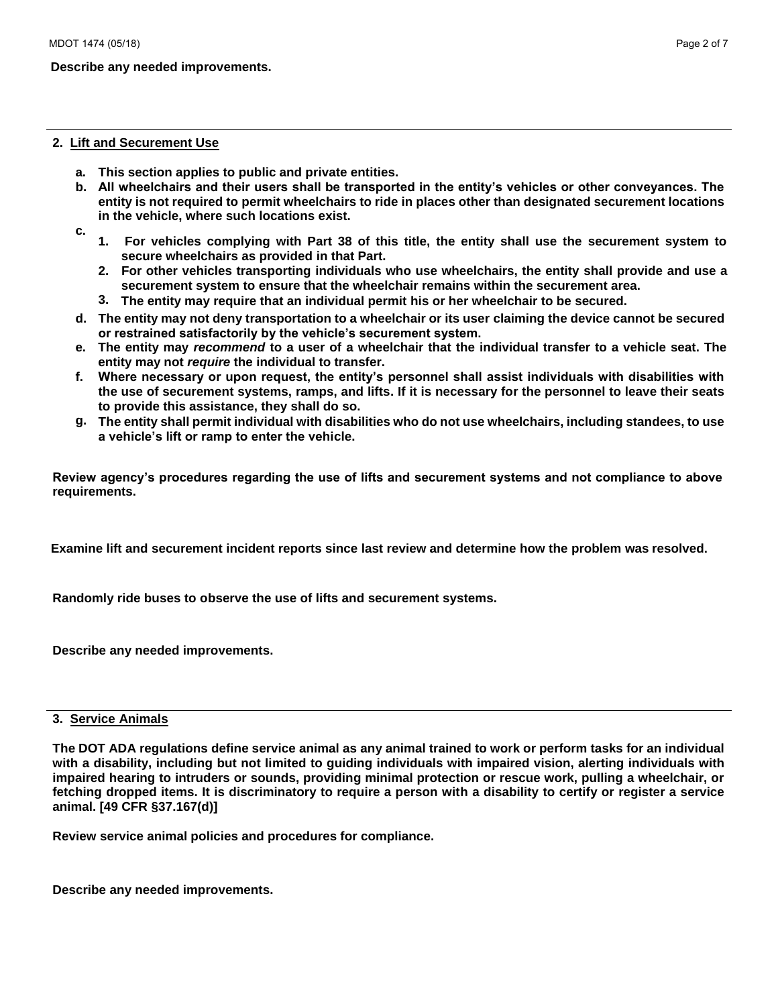# **Describe any needed improvements.**

#### **2. Lift and Securement Use**

- **a. This section applies to public and private entities.**
- **b. All wheelchairs and their users shall be transported in the entity's vehicles or other conveyances. The entity is not required to permit wheelchairs to ride in places other than designated securement locations in the vehicle, where such locations exist.**
- **c. 1. For vehicles complying with Part 38 of this title, the entity shall use the securement system to secure wheelchairs as provided in that Part.**
	- **2. For other vehicles transporting individuals who use wheelchairs, the entity shall provide and use a securement system to ensure that the wheelchair remains within the securement area.**
	- **3. The entity may require that an individual permit his or her wheelchair to be secured.**
- **d. The entity may not deny transportation to a wheelchair or its user claiming the device cannot be secured or restrained satisfactorily by the vehicle's securement system.**
- **e. The entity may** *recommend* **to a user of a wheelchair that the individual transfer to a vehicle seat. The entity may not** *require* **the individual to transfer.**
- **f. Where necessary or upon request, the entity's personnel shall assist individuals with disabilities with the use of securement systems, ramps, and lifts. If it is necessary for the personnel to leave their seats to provide this assistance, they shall do so.**
- **g. The entity shall permit individual with disabilities who do not use wheelchairs, including standees, to use a vehicle's lift or ramp to enter the vehicle.**

**Review agency's procedures regarding the use of lifts and securement systems and not compliance to above requirements.**

**Examine lift and securement incident reports since last review and determine how the problem was resolved.**

**Randomly ride buses to observe the use of lifts and securement systems.** 

**Describe any needed improvements.** 

# **3. Service Animals**

**The DOT ADA regulations define service animal as any animal trained to work or perform tasks for an individual with a disability, including but not limited to guiding individuals with impaired vision, alerting individuals with impaired hearing to intruders or sounds, providing minimal protection or rescue work, pulling a wheelchair, or fetching dropped items. It is discriminatory to require a person with a disability to certify or register a service animal. [49 CFR §37.167(d)]** 

**Review service animal policies and procedures for compliance.**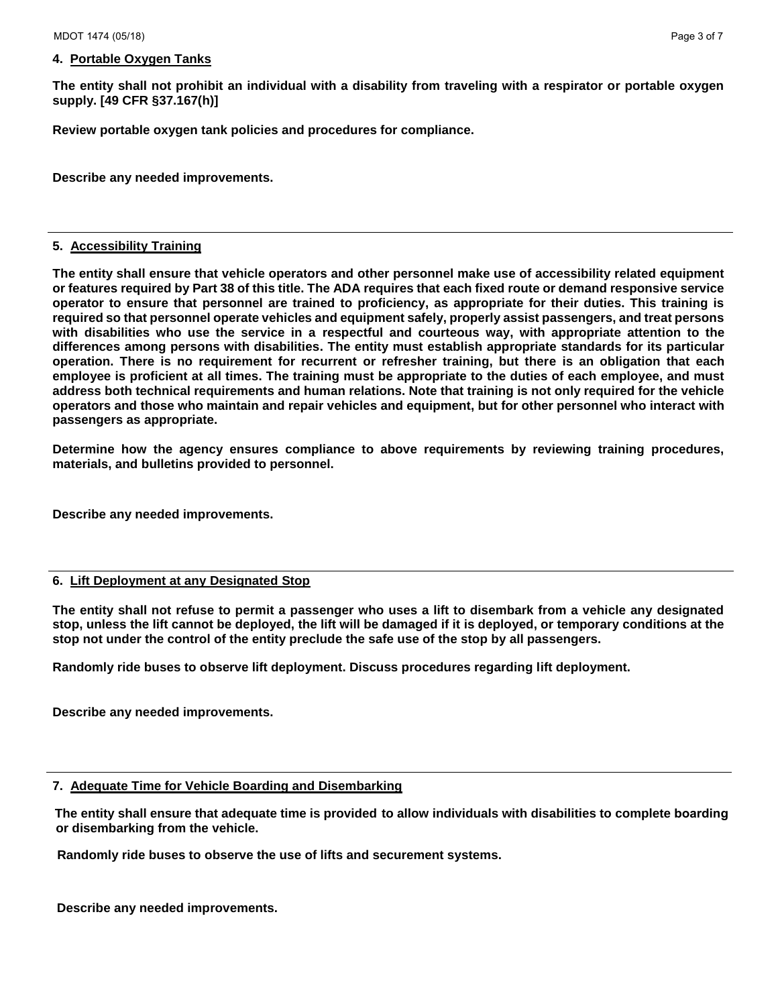# **4. Portable Oxygen Tanks**

**The entity shall not prohibit an individual with a disability from traveling with a respirator or portable oxygen supply. [49 CFR §37.167(h)]** 

**Review portable oxygen tank policies and procedures for compliance.** 

**Describe any needed improvements.** 

#### **5. Accessibility Training**

**The entity shall ensure that vehicle operators and other personnel make use of accessibility related equipment or features required by Part 38 of this title. The ADA requires that each fixed route or demand responsive service operator to ensure that personnel are trained to proficiency, as appropriate for their duties. This training is required so that personnel operate vehicles and equipment safely, properly assist passengers, and treat persons with disabilities who use the service in a respectful and courteous way, with appropriate attention to the differences among persons with disabilities. The entity must establish appropriate standards for its particular operation. There is no requirement for recurrent or refresher training, but there is an obligation that each employee is proficient at all times. The training must be appropriate to the duties of each employee, and must address both technical requirements and human relations. Note that training is not only required for the vehicle operators and those who maintain and repair vehicles and equipment, but for other personnel who interact with passengers as appropriate.** 

**Determine how the agency ensures compliance to above requirements by reviewing training procedures, materials, and bulletins provided to personnel.** 

**Describe any needed improvements.**

### **6. Lift Deployment at any Designated Stop**

**The entity shall not refuse to permit a passenger who uses a lift to disembark from a vehicle any designated stop, unless the lift cannot be deployed, the lift will be damaged if it is deployed, or temporary conditions at the stop not under the control of the entity preclude the safe use of the stop by all passengers.** 

**Randomly ride buses to observe lift deployment. Discuss procedures regarding lift deployment.** 

**Describe any needed improvements.**

#### **7. Adequate Time for Vehicle Boarding and Disembarking**

**The entity shall ensure that adequate time is provided to allow individuals with disabilities to complete boarding or disembarking from the vehicle.** 

**Randomly ride buses to observe the use of lifts and securement systems.**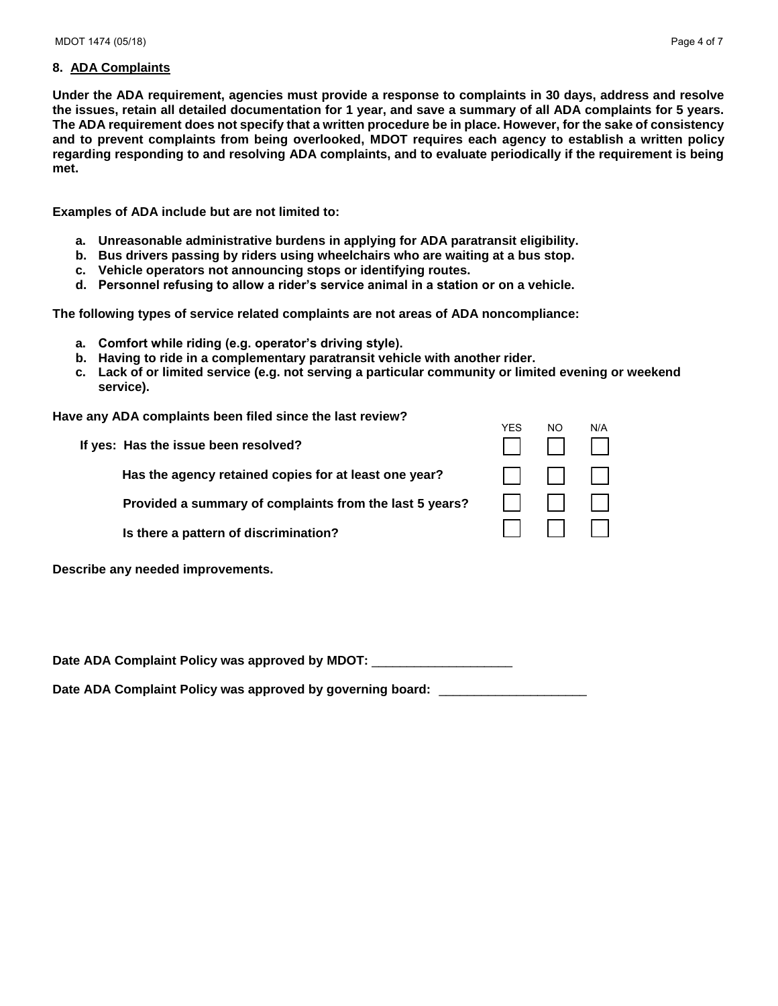# **8. ADA Complaints**

**Under the ADA requirement, agencies must provide a response to complaints in 30 days, address and resolve the issues, retain all detailed documentation for 1 year, and save a summary of all ADA complaints for 5 years. The ADA requirement does not specify that a written procedure be in place. However, for the sake of consistency and to prevent complaints from being overlooked, MDOT requires each agency to establish a written policy regarding responding to and resolving ADA complaints, and to evaluate periodically if the requirement is being met.** 

**Examples of ADA include but are not limited to:** 

- **a. Unreasonable administrative burdens in applying for ADA paratransit eligibility.**
- **b. Bus drivers passing by riders using wheelchairs who are waiting at a bus stop.**
- **c. Vehicle operators not announcing stops or identifying routes.**
- **d. Personnel refusing to allow a rider's service animal in a station or on a vehicle.**

**The following types of service related complaints are not areas of ADA noncompliance:** 

- **a. Comfort while riding (e.g. operator's driving style).**
- **b. Having to ride in a complementary paratransit vehicle with another rider.**
- **c. Lack of or limited service (e.g. not serving a particular community or limited evening or weekend service).**

**Have any ADA complaints been filed since the last review?** 

|                                                         | <b>YES</b> | NO           | N/A    |
|---------------------------------------------------------|------------|--------------|--------|
| If yes: Has the issue been resolved?                    |            |              |        |
| Has the agency retained copies for at least one year?   |            | $\mathbf{1}$ | $-1+1$ |
| Provided a summary of complaints from the last 5 years? |            |              |        |
| Is there a pattern of discrimination?                   |            | 11 11 11     |        |
| Describe any needed improvements.                       |            |              |        |

Date ADA Complaint Policy was approved by MDOT:

Date ADA Complaint Policy was approved by governing board: \_\_\_\_\_\_\_\_\_\_\_\_\_\_\_\_\_\_\_\_\_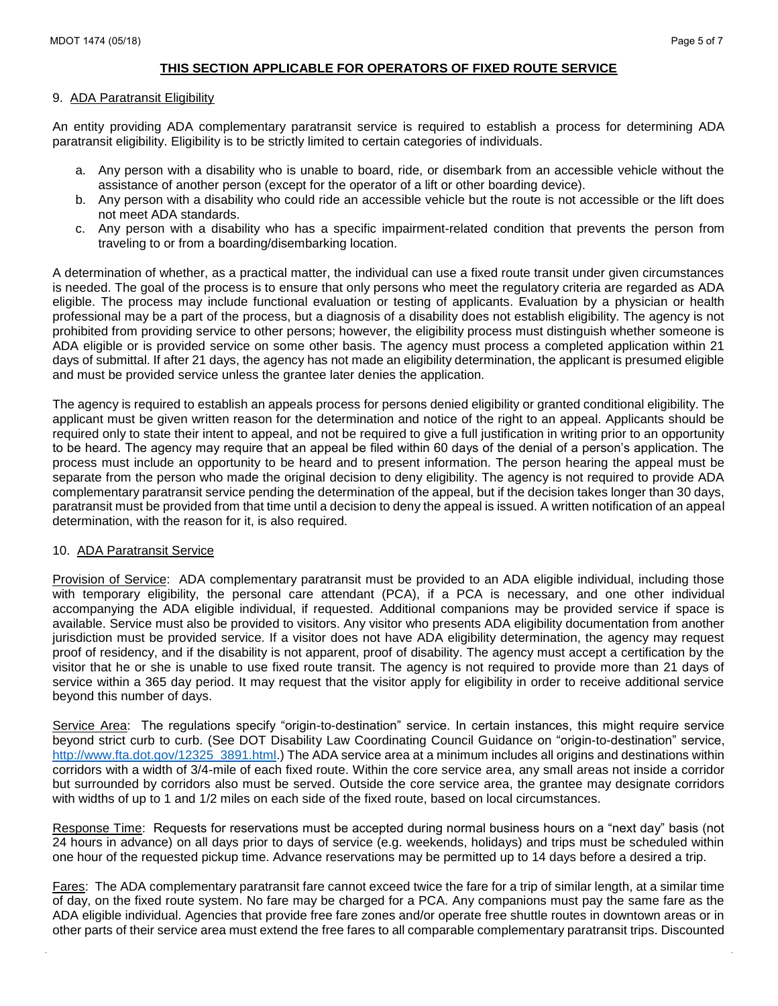# **THIS SECTION APPLICABLE FOR OPERATORS OF FIXED ROUTE SERVICE**

### 9. ADA Paratransit Eligibility

An entity providing ADA complementary paratransit service is required to establish a process for determining ADA paratransit eligibility. Eligibility is to be strictly limited to certain categories of individuals.

- a. Any person with a disability who is unable to board, ride, or disembark from an accessible vehicle without the assistance of another person (except for the operator of a lift or other boarding device).
- b. Any person with a disability who could ride an accessible vehicle but the route is not accessible or the lift does not meet ADA standards.
- c. Any person with a disability who has a specific impairment-related condition that prevents the person from traveling to or from a boarding/disembarking location.

A determination of whether, as a practical matter, the individual can use a fixed route transit under given circumstances is needed. The goal of the process is to ensure that only persons who meet the regulatory criteria are regarded as ADA eligible. The process may include functional evaluation or testing of applicants. Evaluation by a physician or health professional may be a part of the process, but a diagnosis of a disability does not establish eligibility. The agency is not prohibited from providing service to other persons; however, the eligibility process must distinguish whether someone is ADA eligible or is provided service on some other basis. The agency must process a completed application within 21 days of submittal. If after 21 days, the agency has not made an eligibility determination, the applicant is presumed eligible and must be provided service unless the grantee later denies the application.

The agency is required to establish an appeals process for persons denied eligibility or granted conditional eligibility. The applicant must be given written reason for the determination and notice of the right to an appeal. Applicants should be required only to state their intent to appeal, and not be required to give a full justification in writing prior to an opportunity to be heard. The agency may require that an appeal be filed within 60 days of the denial of a person's application. The process must include an opportunity to be heard and to present information. The person hearing the appeal must be separate from the person who made the original decision to deny eligibility. The agency is not required to provide ADA complementary paratransit service pending the determination of the appeal, but if the decision takes longer than 30 days, paratransit must be provided from that time until a decision to deny the appeal is issued. A written notification of an appeal determination, with the reason for it, is also required.

# 10. ADA Paratransit Service

Provision of Service: ADA complementary paratransit must be provided to an ADA eligible individual, including those with temporary eligibility, the personal care attendant (PCA), if a PCA is necessary, and one other individual accompanying the ADA eligible individual, if requested. Additional companions may be provided service if space is available. Service must also be provided to visitors. Any visitor who presents ADA eligibility documentation from another jurisdiction must be provided service. If a visitor does not have ADA eligibility determination, the agency may request proof of residency, and if the disability is not apparent, proof of disability. The agency must accept a certification by the visitor that he or she is unable to use fixed route transit. The agency is not required to provide more than 21 days of service within a 365 day period. It may request that the visitor apply for eligibility in order to receive additional service beyond this number of days.

Service Area: The regulations specify "origin-to-destination" service. In certain instances, this might require service beyond strict curb to curb. (See DOT Disability Law Coordinating Council Guidance on "origin-to-destination" service, [http://www.fta.dot.gov/12325\\_3891.html.](http://www.fta.dot.gov/12325_3891.html)) The ADA service area at a minimum includes all origins and destinations within corridors with a width of 3/4-mile of each fixed route. Within the core service area, any small areas not inside a corridor but surrounded by corridors also must be served. Outside the core service area, the grantee may designate corridors with widths of up to 1 and 1/2 miles on each side of the fixed route, based on local circumstances.

Response Time: Requests for reservations must be accepted during normal business hours on a "next day" basis (not 24 hours in advance) on all days prior to days of service (e.g. weekends, holidays) and trips must be scheduled within one hour of the requested pickup time. Advance reservations may be permitted up to 14 days before a desired a trip.

Fares: The ADA complementary paratransit fare cannot exceed twice the fare for a trip of similar length, at a similar time of day, on the fixed route system. No fare may be charged for a PCA. Any companions must pay the same fare as the ADA eligible individual. Agencies that provide free fare zones and/or operate free shuttle routes in downtown areas or in other parts of their service area must extend the free fares to all comparable complementary paratransit trips. Discounted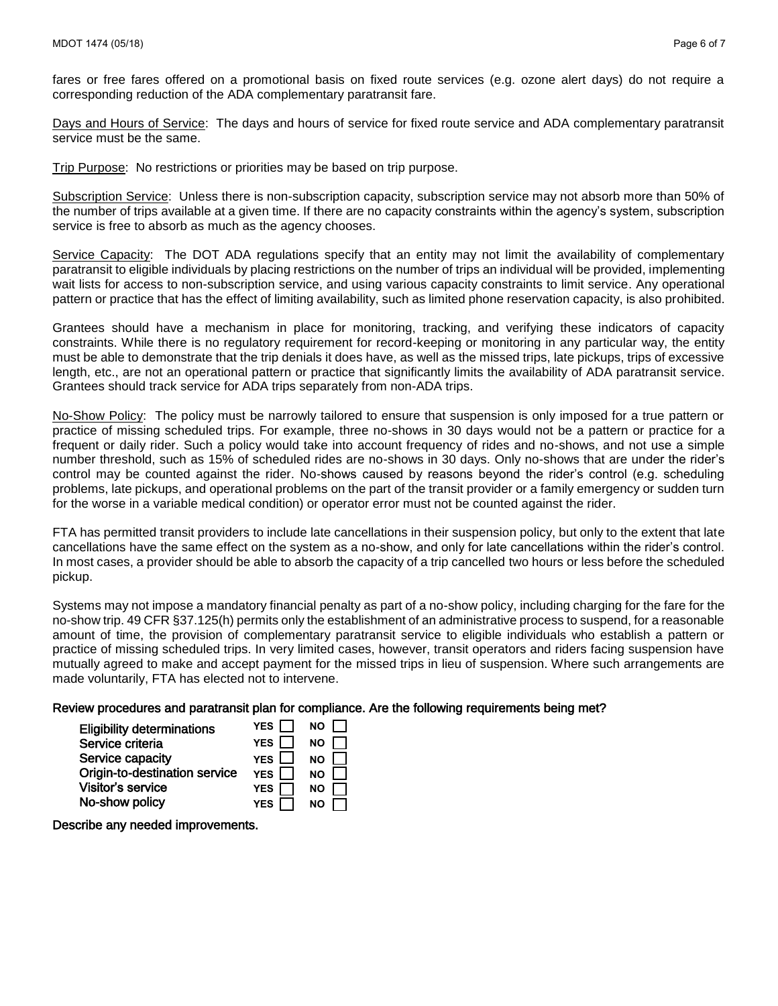fares or free fares offered on a promotional basis on fixed route services (e.g. ozone alert days) do not require a corresponding reduction of the ADA complementary paratransit fare.

Days and Hours of Service: The days and hours of service for fixed route service and ADA complementary paratransit service must be the same.

Trip Purpose: No restrictions or priorities may be based on trip purpose.

Subscription Service: Unless there is non-subscription capacity, subscription service may not absorb more than 50% of the number of trips available at a given time. If there are no capacity constraints within the agency's system, subscription service is free to absorb as much as the agency chooses.

Service Capacity: The DOT ADA regulations specify that an entity may not limit the availability of complementary paratransit to eligible individuals by placing restrictions on the number of trips an individual will be provided, implementing wait lists for access to non-subscription service, and using various capacity constraints to limit service. Any operational pattern or practice that has the effect of limiting availability, such as limited phone reservation capacity, is also prohibited.

Grantees should have a mechanism in place for monitoring, tracking, and verifying these indicators of capacity constraints. While there is no regulatory requirement for record-keeping or monitoring in any particular way, the entity must be able to demonstrate that the trip denials it does have, as well as the missed trips, late pickups, trips of excessive length, etc., are not an operational pattern or practice that significantly limits the availability of ADA paratransit service. Grantees should track service for ADA trips separately from non-ADA trips.

No-Show Policy: The policy must be narrowly tailored to ensure that suspension is only imposed for a true pattern or practice of missing scheduled trips. For example, three no-shows in 30 days would not be a pattern or practice for a frequent or daily rider. Such a policy would take into account frequency of rides and no-shows, and not use a simple number threshold, such as 15% of scheduled rides are no-shows in 30 days. Only no-shows that are under the rider's control may be counted against the rider. No-shows caused by reasons beyond the rider's control (e.g. scheduling problems, late pickups, and operational problems on the part of the transit provider or a family emergency or sudden turn for the worse in a variable medical condition) or operator error must not be counted against the rider.

FTA has permitted transit providers to include late cancellations in their suspension policy, but only to the extent that late cancellations have the same effect on the system as a no-show, and only for late cancellations within the rider's control. In most cases, a provider should be able to absorb the capacity of a trip cancelled two hours or less before the scheduled pickup.

Systems may not impose a mandatory financial penalty as part of a no-show policy, including charging for the fare for the no-show trip. 49 CFR §37.125(h) permits only the establishment of an administrative process to suspend, for a reasonable amount of time, the provision of complementary paratransit service to eligible individuals who establish a pattern or practice of missing scheduled trips. In very limited cases, however, transit operators and riders facing suspension have mutually agreed to make and accept payment for the missed trips in lieu of suspension. Where such arrangements are made voluntarily, FTA has elected not to intervene.

# Review procedures and paratransit plan for compliance. Are the following requirements being met?

| <b>Eligibility determinations</b> | YES I      | NO I      |
|-----------------------------------|------------|-----------|
| Service criteria                  | YES I      | <b>NO</b> |
| Service capacity                  | YES I      | <b>NO</b> |
| Origin-to-destination service     | YES I I    | <b>NO</b> |
| Visitor's service                 | <b>YES</b> | <b>NO</b> |
| No-show policy                    | <b>YES</b> | <b>NO</b> |